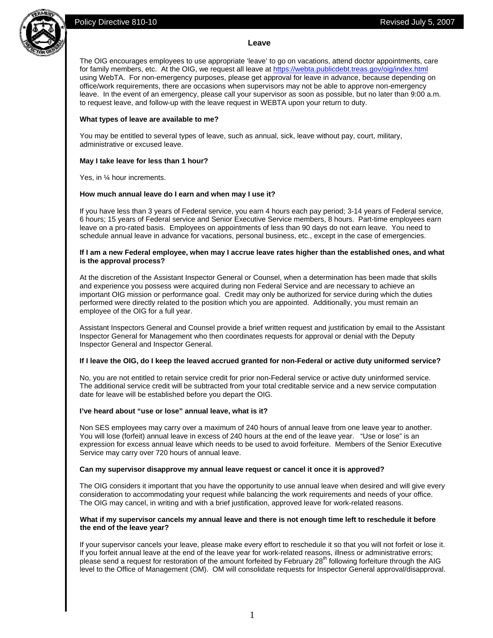# Policy Directive 810-10 **Policy** Directive 810-10





## **Leave**

The OIG encourages employees to use appropriate 'leave' to go on vacations, attend doctor appointments, care for family members, etc. At the OIG, we request all leave at https://webta.publicdebt.treas.gov/oig/index.html using WebTA. For non-emergency purposes, please get approval for leave in advance, because depending on office/work requirements, there are occasions when supervisors may not be able to approve non-emergency leave. In the event of an emergency, please call your supervisor as soon as possible, but no later than 9:00 a.m. to request leave, and follow-up with the leave request in WEBTA upon your return to duty.

## **What types of leave are available to me?**

You may be entitled to several types of leave, such as annual, sick, leave without pay, court, military, administrative or excused leave.

## **May I take leave for less than 1 hour?**

Yes, in ¼ hour increments.

## **How much annual leave do I earn and when may I use it?**

If you have less than 3 years of Federal service, you earn 4 hours each pay period; 3-14 years of Federal service, 6 hours; 15 years of Federal service and Senior Executive Service members, 8 hours. Part-time employees earn leave on a pro-rated basis. Employees on appointments of less than 90 days do not earn leave. You need to schedule annual leave in advance for vacations, personal business, etc., except in the case of emergencies.

#### **If I am a new Federal employee, when may I accrue leave rates higher than the established ones, and what is the approval process?**

At the discretion of the Assistant Inspector General or Counsel, when a determination has been made that skills and experience you possess were acquired during non Federal Service and are necessary to achieve an important OIG mission or performance goal. Credit may only be authorized for service during which the duties performed were directly related to the position which you are appointed. Additionally, you must remain an employee of the OIG for a full year.

Assistant Inspectors General and Counsel provide a brief written request and justification by email to the Assistant Inspector General for Management who then coordinates requests for approval or denial with the Deputy Inspector General and Inspector General.

## **If I leave the OIG, do I keep the leaved accrued granted for non-Federal or active duty uniformed service?**

No, you are not entitled to retain service credit for prior non-Federal service or active duty uninformed service. The additional service credit will be subtracted from your total creditable service and a new service computation date for leave will be established before you depart the OIG.

## **I've heard about "use or lose" annual leave, what is it?**

Non SES employees may carry over a maximum of 240 hours of annual leave from one leave year to another. You will lose (forfeit) annual leave in excess of 240 hours at the end of the leave year. "Use or lose" is an expression for excess annual leave which needs to be used to avoid forfeiture. Members of the Senior Executive Service may carry over 720 hours of annual leave.

## **Can my supervisor disapprove my annual leave request or cancel it once it is approved?**

The OIG considers it important that you have the opportunity to use annual leave when desired and will give every consideration to accommodating your request while balancing the work requirements and needs of your office. The OIG may cancel, in writing and with a brief justification, approved leave for work-related reasons.

## **What if my supervisor cancels my annual leave and there is not enough time left to reschedule it before the end of the leave year?**

If your supervisor cancels your leave, please make every effort to reschedule it so that you will not forfeit or lose it. If you forfeit annual leave at the end of the leave year for work-related reasons, illness or administrative errors; please send a request for restoration of the amount forfeited by February 28<sup>th</sup> following forfeiture through the AIG level to the Office of Management (OM). OM will consolidate requests for Inspector General approval/disapproval.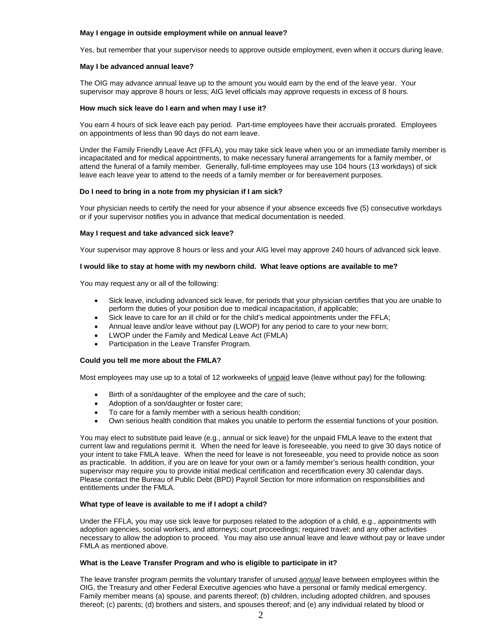#### **May I engage in outside employment while on annual leave?**

Yes, but remember that your supervisor needs to approve outside employment, even when it occurs during leave.

#### **May I be advanced annual leave?**

The OIG may advance annual leave up to the amount you would earn by the end of the leave year. Your supervisor may approve 8 hours or less; AIG level officials may approve requests in excess of 8 hours.

#### **How much sick leave do I earn and when may I use it?**

You earn 4 hours of sick leave each pay period. Part-time employees have their accruals prorated. Employees on appointments of less than 90 days do not earn leave.

Under the Family Friendly Leave Act (FFLA), you may take sick leave when you or an immediate family member is incapacitated and for medical appointments, to make necessary funeral arrangements for a family member, or attend the funeral of a family member. Generally, full-time employees may use 104 hours (13 workdays) of sick leave each leave year to attend to the needs of a family member or for bereavement purposes.

## **Do I need to bring in a note from my physician if I am sick?**

Your physician needs to certify the need for your absence if your absence exceeds five (5) consecutive workdays or if your supervisor notifies you in advance that medical documentation is needed.

#### **May I request and take advanced sick leave?**

Your supervisor may approve 8 hours or less and your AIG level may approve 240 hours of advanced sick leave.

#### **I would like to stay at home with my newborn child. What leave options are available to me?**

You may request any or all of the following:

- Sick leave, including advanced sick leave, for periods that your physician certifies that you are unable to perform the duties of your position due to medical incapacitation, if applicable;
- Sick leave to care for an ill child or for the child's medical appointments under the FFLA;
- Annual leave and/or leave without pay (LWOP) for any period to care to your new born;
- LWOP under the Family and Medical Leave Act (FMLA)
- Participation in the Leave Transfer Program.

## **Could you tell me more about the FMLA?**

Most employees may use up to a total of 12 workweeks of unpaid leave (leave without pay) for the following:

- Birth of a son/daughter of the employee and the care of such;
- Adoption of a son/daughter or foster care;
- To care for a family member with a serious health condition;
- Own serious health condition that makes you unable to perform the essential functions of your position.

You may elect to substitute paid leave (e.g., annual or sick leave) for the unpaid FMLA leave to the extent that current law and regulations permit it. When the need for leave is foreseeable, you need to give 30 days notice of your intent to take FMLA leave. When the need for leave is not foreseeable, you need to provide notice as soon as practicable.In addition, if you are on leave for your own or a family member's serious health condition, your supervisor may require you to provide initial medical certification and recertification every 30 calendar days. Please contact the Bureau of Public Debt (BPD) Payroll Section for more information on responsibilities and entitlements under the FMLA.

## **What type of leave is available to me if I adopt a child?**

Under the FFLA, you may use sick leave for purposes related to the adoption of a child, e.g., appointments with adoption agencies, social workers, and attorneys; court proceedings; required travel; and any other activities necessary to allow the adoption to proceed. You may also use annual leave and leave without pay or leave under FMLA as mentioned above.

#### **What is the Leave Transfer Program and who is eligible to participate in it?**

The leave transfer program permits the voluntary transfer of unused *annual* leave between employees within the OIG, the Treasury and other Federal Executive agencies who have a personal or family medical emergency. Family member means (a) spouse, and parents thereof; (b) children, including adopted children, and spouses thereof; (c) parents; (d) brothers and sisters, and spouses thereof; and (e) any individual related by blood or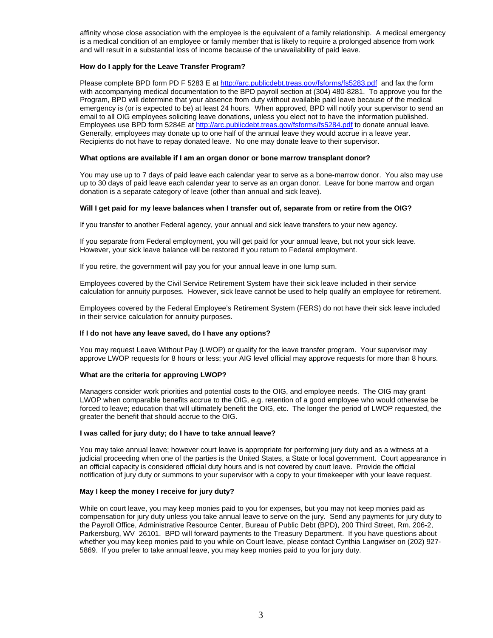affinity whose close association with the employee is the equivalent of a family relationship. A medical emergency is a medical condition of an employee or family member that is likely to require a prolonged absence from work and will result in a substantial loss of income because of the unavailability of paid leave.

## **How do I apply for the Leave Transfer Program?**

Please complete BPD form PD F 5283 E at http://arc.publicdebt.treas.gov/fsforms/fs5283.pdf and fax the form with accompanying medical documentation to the BPD payroll section at (304) 480-8281. To approve you for the Program, BPD will determine that your absence from duty without available paid leave because of the medical emergency is (or is expected to be) at least 24 hours. When approved, BPD will notify your supervisor to send an email to all OIG employees soliciting leave donations, unless you elect not to have the information published. Employees use BPD form 5284E at http://arc.publicdebt.treas.gov/fsforms/fs5284.pdf to donate annual leave. Generally, employees may donate up to one half of the annual leave they would accrue in a leave year. Recipients do not have to repay donated leave. No one may donate leave to their supervisor.

## **What options are available if I am an organ donor or bone marrow transplant donor?**

You may use up to 7 days of paid leave each calendar year to serve as a bone-marrow donor. You also may use up to 30 days of paid leave each calendar year to serve as an organ donor. Leave for bone marrow and organ donation is a separate category of leave (other than annual and sick leave).

## **Will I get paid for my leave balances when I transfer out of, separate from or retire from the OIG?**

If you transfer to another Federal agency, your annual and sick leave transfers to your new agency.

If you separate from Federal employment, you will get paid for your annual leave, but not your sick leave. However, your sick leave balance will be restored if you return to Federal employment.

If you retire, the government will pay you for your annual leave in one lump sum.

Employees covered by the Civil Service Retirement System have their sick leave included in their service calculation for annuity purposes. However, sick leave cannot be used to help qualify an employee for retirement.

Employees covered by the Federal Employee's Retirement System (FERS) do not have their sick leave included in their service calculation for annuity purposes.

## **If I do not have any leave saved, do I have any options?**

You may request Leave Without Pay (LWOP) or qualify for the leave transfer program. Your supervisor may approve LWOP requests for 8 hours or less; your AIG level official may approve requests for more than 8 hours.

## **What are the criteria for approving LWOP?**

Managers consider work priorities and potential costs to the OIG, and employee needs. The OIG may grant LWOP when comparable benefits accrue to the OIG, e.g. retention of a good employee who would otherwise be forced to leave; education that will ultimately benefit the OIG, etc. The longer the period of LWOP requested, the greater the benefit that should accrue to the OIG.

## **I was called for jury duty; do I have to take annual leave?**

You may take annual leave; however court leave is appropriate for performing jury duty and as a witness at a judicial proceeding when one of the parties is the United States, a State or local government. Court appearance in an official capacity is considered official duty hours and is not covered by court leave. Provide the official notification of jury duty or summons to your supervisor with a copy to your timekeeper with your leave request.

## **May I keep the money I receive for jury duty?**

While on court leave, you may keep monies paid to you for expenses, but you may not keep monies paid as compensation for jury duty unless you take annual leave to serve on the jury. Send any payments for jury duty to the Payroll Office, Administrative Resource Center, Bureau of Public Debt (BPD), 200 Third Street, Rm. 206-2, Parkersburg, WV 26101. BPD will forward payments to the Treasury Department. If you have questions about whether you may keep monies paid to you while on Court leave, please contact Cynthia Langwiser on (202) 927- 5869. If you prefer to take annual leave, you may keep monies paid to you for jury duty.